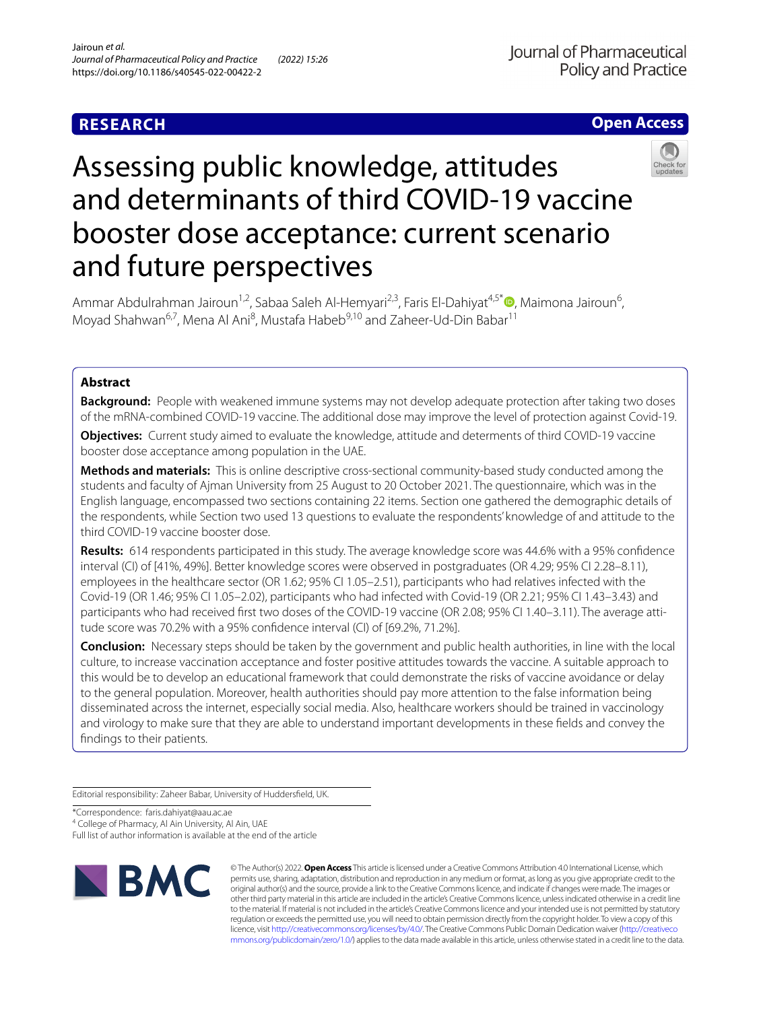## **RESEARCH**



# Assessing public knowledge, attitudes and determinants of third COVID-19 vaccine booster dose acceptance: current scenario and future perspectives



Ammar Abdulrahman Jairoun<sup>1,2</sup>[,](http://orcid.org/0000-0002-5264-8699) Sabaa Saleh Al-Hemyari<sup>2,3</sup>, Faris El-Dahiyat<sup>4,5\*</sup>®, Maimona Jairoun<sup>6</sup>, Moyad Shahwan<sup>6,7</sup>, Mena Al Ani<sup>8</sup>, Mustafa Habeb<sup>9,10</sup> and Zaheer-Ud-Din Babar<sup>11</sup>

## **Abstract**

**Background:** People with weakened immune systems may not develop adequate protection after taking two doses of the mRNA-combined COVID-19 vaccine. The additional dose may improve the level of protection against Covid-19.

**Objectives:** Current study aimed to evaluate the knowledge, attitude and determents of third COVID-19 vaccine booster dose acceptance among population in the UAE.

**Methods and materials:** This is online descriptive cross-sectional community-based study conducted among the students and faculty of Ajman University from 25 August to 20 October 2021. The questionnaire, which was in the English language, encompassed two sections containing 22 items. Section one gathered the demographic details of the respondents, while Section two used 13 questions to evaluate the respondents' knowledge of and attitude to the third COVID-19 vaccine booster dose.

**Results:** 614 respondents participated in this study. The average knowledge score was 44.6% with a 95% confdence interval (CI) of [41%, 49%]. Better knowledge scores were observed in postgraduates (OR 4.29; 95% CI 2.28–8.11), employees in the healthcare sector (OR 1.62; 95% CI 1.05–2.51), participants who had relatives infected with the Covid-19 (OR 1.46; 95% CI 1.05–2.02), participants who had infected with Covid-19 (OR 2.21; 95% CI 1.43–3.43) and participants who had received first two doses of the COVID-19 vaccine (OR 2.08; 95% CI 1.40–3.11). The average attitude score was 70.2% with a 95% confdence interval (CI) of [69.2%, 71.2%].

**Conclusion:** Necessary steps should be taken by the government and public health authorities, in line with the local culture, to increase vaccination acceptance and foster positive attitudes towards the vaccine. A suitable approach to this would be to develop an educational framework that could demonstrate the risks of vaccine avoidance or delay to the general population. Moreover, health authorities should pay more attention to the false information being disseminated across the internet, especially social media. Also, healthcare workers should be trained in vaccinology and virology to make sure that they are able to understand important developments in these felds and convey the fndings to their patients.

Editorial responsibility: Zaheer Babar, University of Huddersfeld, UK.

\*Correspondence: faris.dahiyat@aau.ac.ae

<sup>4</sup> College of Pharmacy, Al Ain University, Al Ain, UAE

Full list of author information is available at the end of the article



© The Author(s) 2022. **Open Access** This article is licensed under a Creative Commons Attribution 4.0 International License, which permits use, sharing, adaptation, distribution and reproduction in any medium or format, as long as you give appropriate credit to the original author(s) and the source, provide a link to the Creative Commons licence, and indicate if changes were made. The images or other third party material in this article are included in the article's Creative Commons licence, unless indicated otherwise in a credit line to the material. If material is not included in the article's Creative Commons licence and your intended use is not permitted by statutory regulation or exceeds the permitted use, you will need to obtain permission directly from the copyright holder. To view a copy of this licence, visit [http://creativecommons.org/licenses/by/4.0/.](http://creativecommons.org/licenses/by/4.0/) The Creative Commons Public Domain Dedication waiver ([http://creativeco](http://creativecommons.org/publicdomain/zero/1.0/) [mmons.org/publicdomain/zero/1.0/](http://creativecommons.org/publicdomain/zero/1.0/)) applies to the data made available in this article, unless otherwise stated in a credit line to the data.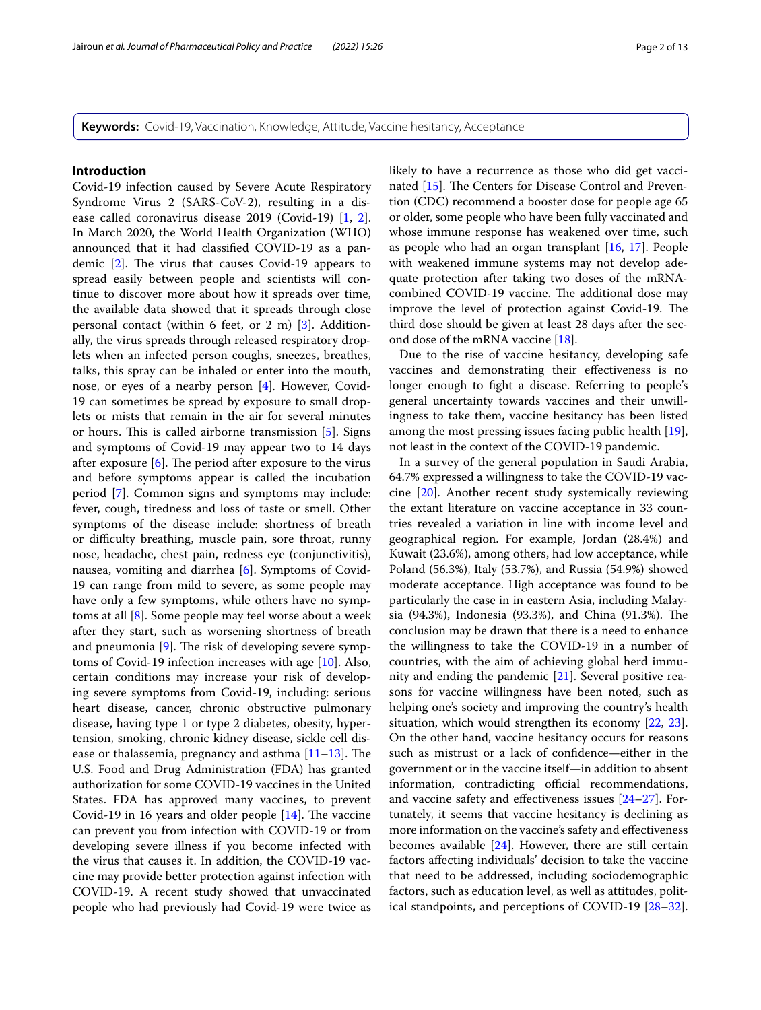**Keywords:** Covid-19, Vaccination, Knowledge, Attitude, Vaccine hesitancy, Acceptance

## **Introduction**

Covid-19 infection caused by Severe Acute Respiratory Syndrome Virus 2 (SARS-CoV-2), resulting in a disease called coronavirus disease 2019 (Covid-19) [[1,](#page-10-0) [2](#page-10-1)]. In March 2020, the World Health Organization (WHO) announced that it had classifed COVID-19 as a pandemic  $[2]$  $[2]$ . The virus that causes Covid-19 appears to spread easily between people and scientists will continue to discover more about how it spreads over time, the available data showed that it spreads through close personal contact (within 6 feet, or 2 m) [[3\]](#page-10-2). Additionally, the virus spreads through released respiratory droplets when an infected person coughs, sneezes, breathes, talks, this spray can be inhaled or enter into the mouth, nose, or eyes of a nearby person [\[4](#page-10-3)]. However, Covid-19 can sometimes be spread by exposure to small droplets or mists that remain in the air for several minutes or hours. This is called airborne transmission  $[5]$  $[5]$ . Signs and symptoms of Covid-19 may appear two to 14 days after exposure  $[6]$  $[6]$ . The period after exposure to the virus and before symptoms appear is called the incubation period [[7\]](#page-10-6). Common signs and symptoms may include: fever, cough, tiredness and loss of taste or smell. Other symptoms of the disease include: shortness of breath or difculty breathing, muscle pain, sore throat, runny nose, headache, chest pain, redness eye (conjunctivitis), nausea, vomiting and diarrhea [\[6](#page-10-5)]. Symptoms of Covid-19 can range from mild to severe, as some people may have only a few symptoms, while others have no symptoms at all [\[8](#page-11-0)]. Some people may feel worse about a week after they start, such as worsening shortness of breath and pneumonia  $[9]$  $[9]$ . The risk of developing severe symptoms of Covid-19 infection increases with age [[10\]](#page-11-2). Also, certain conditions may increase your risk of developing severe symptoms from Covid-19, including: serious heart disease, cancer, chronic obstructive pulmonary disease, having type 1 or type 2 diabetes, obesity, hypertension, smoking, chronic kidney disease, sickle cell disease or thalassemia, pregnancy and asthma  $[11-13]$  $[11-13]$ . The U.S. Food and Drug Administration (FDA) has granted authorization for some COVID-19 vaccines in the United States. FDA has approved many vaccines, to prevent Covid-19 in 16 years and older people  $[14]$  $[14]$ . The vaccine can prevent you from infection with COVID-19 or from developing severe illness if you become infected with the virus that causes it. In addition, the COVID-19 vaccine may provide better protection against infection with COVID-19. A recent study showed that unvaccinated people who had previously had Covid-19 were twice as likely to have a recurrence as those who did get vaccinated  $[15]$  $[15]$ . The Centers for Disease Control and Prevention (CDC) recommend a booster dose for people age 65 or older, some people who have been fully vaccinated and whose immune response has weakened over time, such as people who had an organ transplant [[16,](#page-11-7) [17](#page-11-8)]. People with weakened immune systems may not develop adequate protection after taking two doses of the mRNAcombined COVID-19 vaccine. The additional dose may improve the level of protection against Covid-19. The third dose should be given at least 28 days after the second dose of the mRNA vaccine [[18\]](#page-11-9).

Due to the rise of vaccine hesitancy, developing safe vaccines and demonstrating their efectiveness is no longer enough to fght a disease. Referring to people's general uncertainty towards vaccines and their unwillingness to take them, vaccine hesitancy has been listed among the most pressing issues facing public health [\[19](#page-11-10)], not least in the context of the COVID-19 pandemic.

In a survey of the general population in Saudi Arabia, 64.7% expressed a willingness to take the COVID-19 vaccine [\[20](#page-11-11)]. Another recent study systemically reviewing the extant literature on vaccine acceptance in 33 countries revealed a variation in line with income level and geographical region. For example, Jordan (28.4%) and Kuwait (23.6%), among others, had low acceptance, while Poland (56.3%), Italy (53.7%), and Russia (54.9%) showed moderate acceptance. High acceptance was found to be particularly the case in in eastern Asia, including Malaysia (94.3%), Indonesia (93.3%), and China (91.3%). The conclusion may be drawn that there is a need to enhance the willingness to take the COVID-19 in a number of countries, with the aim of achieving global herd immunity and ending the pandemic [\[21\]](#page-11-12). Several positive reasons for vaccine willingness have been noted, such as helping one's society and improving the country's health situation, which would strengthen its economy [[22,](#page-11-13) [23](#page-11-14)]. On the other hand, vaccine hesitancy occurs for reasons such as mistrust or a lack of confdence—either in the government or in the vaccine itself—in addition to absent information, contradicting official recommendations, and vaccine safety and efectiveness issues [\[24](#page-11-15)–[27\]](#page-11-16). Fortunately, it seems that vaccine hesitancy is declining as more information on the vaccine's safety and efectiveness becomes available [\[24](#page-11-15)]. However, there are still certain factors afecting individuals' decision to take the vaccine that need to be addressed, including sociodemographic factors, such as education level, as well as attitudes, political standpoints, and perceptions of COVID-19 [[28](#page-11-17)[–32](#page-11-18)].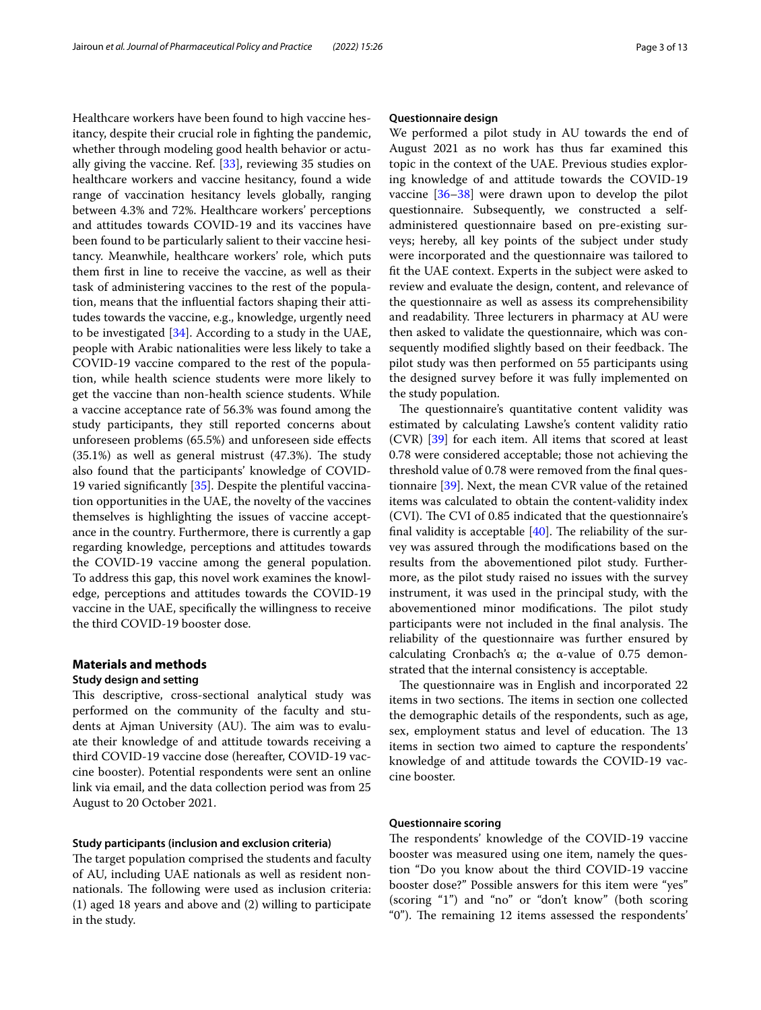Healthcare workers have been found to high vaccine hesitancy, despite their crucial role in fghting the pandemic, whether through modeling good health behavior or actually giving the vaccine. Ref. [[33\]](#page-11-19), reviewing 35 studies on healthcare workers and vaccine hesitancy, found a wide range of vaccination hesitancy levels globally, ranging between 4.3% and 72%. Healthcare workers' perceptions and attitudes towards COVID-19 and its vaccines have been found to be particularly salient to their vaccine hesitancy. Meanwhile, healthcare workers' role, which puts them frst in line to receive the vaccine, as well as their task of administering vaccines to the rest of the population, means that the infuential factors shaping their attitudes towards the vaccine, e.g., knowledge, urgently need to be investigated [\[34](#page-11-20)]. According to a study in the UAE, people with Arabic nationalities were less likely to take a COVID-19 vaccine compared to the rest of the population, while health science students were more likely to get the vaccine than non-health science students. While a vaccine acceptance rate of 56.3% was found among the study participants, they still reported concerns about unforeseen problems (65.5%) and unforeseen side efects  $(35.1%)$  as well as general mistrust  $(47.3%)$ . The study also found that the participants' knowledge of COVID-19 varied signifcantly [\[35](#page-11-21)]. Despite the plentiful vaccination opportunities in the UAE, the novelty of the vaccines themselves is highlighting the issues of vaccine acceptance in the country. Furthermore, there is currently a gap regarding knowledge, perceptions and attitudes towards the COVID-19 vaccine among the general population. To address this gap, this novel work examines the knowledge, perceptions and attitudes towards the COVID-19 vaccine in the UAE, specifcally the willingness to receive the third COVID-19 booster dose.

## **Materials and methods**

## **Study design and setting**

This descriptive, cross-sectional analytical study was performed on the community of the faculty and students at Ajman University (AU). The aim was to evaluate their knowledge of and attitude towards receiving a third COVID-19 vaccine dose (hereafter, COVID-19 vaccine booster). Potential respondents were sent an online link via email, and the data collection period was from 25 August to 20 October 2021.

## **Study participants (inclusion and exclusion criteria)**

The target population comprised the students and faculty of AU, including UAE nationals as well as resident nonnationals. The following were used as inclusion criteria: (1) aged 18 years and above and (2) willing to participate in the study.

## **Questionnaire design**

We performed a pilot study in AU towards the end of August 2021 as no work has thus far examined this topic in the context of the UAE. Previous studies exploring knowledge of and attitude towards the COVID-19 vaccine [\[36](#page-11-22)[–38](#page-11-23)] were drawn upon to develop the pilot questionnaire. Subsequently, we constructed a selfadministered questionnaire based on pre-existing surveys; hereby, all key points of the subject under study were incorporated and the questionnaire was tailored to ft the UAE context. Experts in the subject were asked to review and evaluate the design, content, and relevance of the questionnaire as well as assess its comprehensibility and readability. Three lecturers in pharmacy at AU were then asked to validate the questionnaire, which was consequently modified slightly based on their feedback. The pilot study was then performed on 55 participants using the designed survey before it was fully implemented on the study population.

The questionnaire's quantitative content validity was estimated by calculating Lawshe's content validity ratio (CVR) [[39\]](#page-11-24) for each item. All items that scored at least 0.78 were considered acceptable; those not achieving the threshold value of 0.78 were removed from the fnal questionnaire [[39\]](#page-11-24). Next, the mean CVR value of the retained items was calculated to obtain the content-validity index (CVI). The CVI of 0.85 indicated that the questionnaire's final validity is acceptable  $[40]$ . The reliability of the survey was assured through the modifcations based on the results from the abovementioned pilot study. Furthermore, as the pilot study raised no issues with the survey instrument, it was used in the principal study, with the abovementioned minor modifications. The pilot study participants were not included in the final analysis. The reliability of the questionnaire was further ensured by calculating Cronbach's  $\alpha$ ; the α-value of 0.75 demonstrated that the internal consistency is acceptable.

The questionnaire was in English and incorporated 22 items in two sections. The items in section one collected the demographic details of the respondents, such as age, sex, employment status and level of education. The 13 items in section two aimed to capture the respondents' knowledge of and attitude towards the COVID-19 vaccine booster.

## **Questionnaire scoring**

The respondents' knowledge of the COVID-19 vaccine booster was measured using one item, namely the question "Do you know about the third COVID-19 vaccine booster dose?" Possible answers for this item were "yes" (scoring "1") and "no" or "don't know" (both scoring "0"). The remaining 12 items assessed the respondents'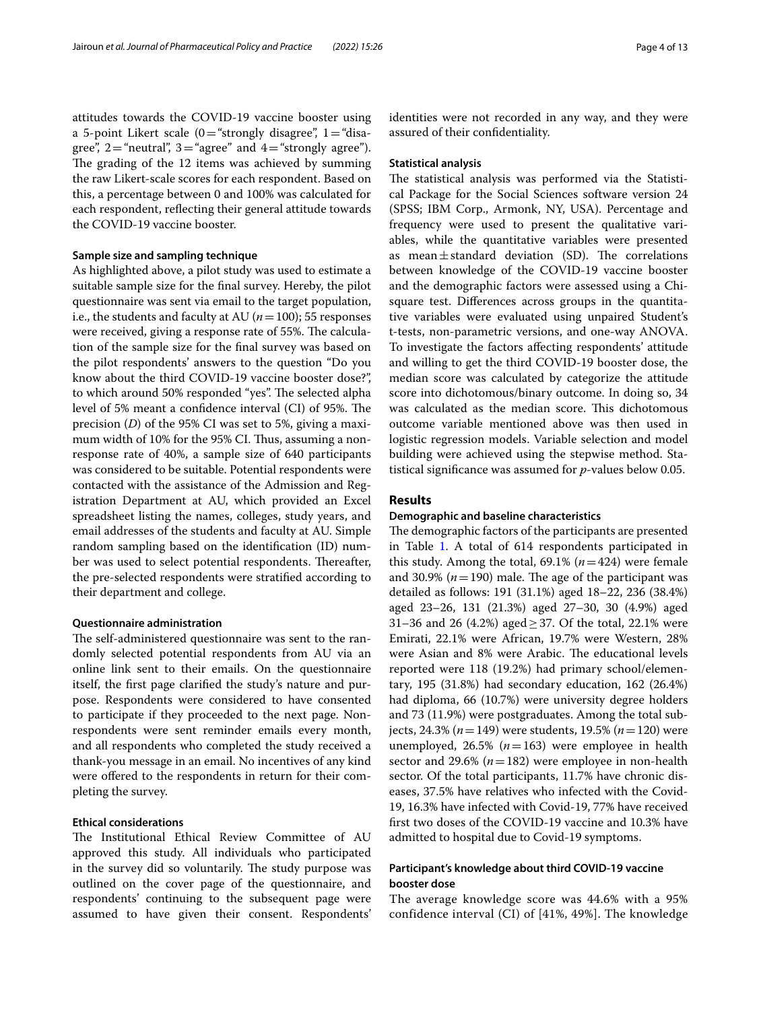attitudes towards the COVID-19 vaccine booster using a 5-point Likert scale  $(0=$ "strongly disagree", 1 = "disagree",  $2$ ="neutral",  $3$ ="agree" and  $4$ ="strongly agree"). The grading of the 12 items was achieved by summing the raw Likert-scale scores for each respondent. Based on this, a percentage between 0 and 100% was calculated for each respondent, reflecting their general attitude towards the COVID-19 vaccine booster.

## **Sample size and sampling technique**

As highlighted above, a pilot study was used to estimate a suitable sample size for the fnal survey. Hereby, the pilot questionnaire was sent via email to the target population, i.e., the students and faculty at AU ( $n=100$ ); 55 responses were received, giving a response rate of 55%. The calculation of the sample size for the fnal survey was based on the pilot respondents' answers to the question "Do you know about the third COVID-19 vaccine booster dose?", to which around 50% responded "yes". The selected alpha level of 5% meant a confidence interval (CI) of 95%. The precision (*D*) of the 95% CI was set to 5%, giving a maximum width of 10% for the 95% CI. Thus, assuming a nonresponse rate of 40%, a sample size of 640 participants was considered to be suitable. Potential respondents were contacted with the assistance of the Admission and Registration Department at AU, which provided an Excel spreadsheet listing the names, colleges, study years, and email addresses of the students and faculty at AU. Simple random sampling based on the identifcation (ID) number was used to select potential respondents. Thereafter, the pre-selected respondents were stratifed according to their department and college.

## **Questionnaire administration**

The self-administered questionnaire was sent to the randomly selected potential respondents from AU via an online link sent to their emails. On the questionnaire itself, the frst page clarifed the study's nature and purpose. Respondents were considered to have consented to participate if they proceeded to the next page. Nonrespondents were sent reminder emails every month, and all respondents who completed the study received a thank-you message in an email. No incentives of any kind were offered to the respondents in return for their completing the survey.

## **Ethical considerations**

The Institutional Ethical Review Committee of AU approved this study. All individuals who participated in the survey did so voluntarily. The study purpose was outlined on the cover page of the questionnaire, and respondents' continuing to the subsequent page were assumed to have given their consent. Respondents' identities were not recorded in any way, and they were assured of their confdentiality.

#### **Statistical analysis**

The statistical analysis was performed via the Statistical Package for the Social Sciences software version 24 (SPSS; IBM Corp., Armonk, NY, USA). Percentage and frequency were used to present the qualitative variables, while the quantitative variables were presented as mean $\pm$ standard deviation (SD). The correlations between knowledge of the COVID-19 vaccine booster and the demographic factors were assessed using a Chisquare test. Diferences across groups in the quantitative variables were evaluated using unpaired Student's t-tests, non-parametric versions, and one-way ANOVA. To investigate the factors afecting respondents' attitude and willing to get the third COVID-19 booster dose, the median score was calculated by categorize the attitude score into dichotomous/binary outcome. In doing so, 34 was calculated as the median score. This dichotomous outcome variable mentioned above was then used in logistic regression models. Variable selection and model building were achieved using the stepwise method. Statistical signifcance was assumed for *p*-values below 0.05.

## **Results**

## **Demographic and baseline characteristics**

The demographic factors of the participants are presented in Table [1.](#page-4-0) A total of 614 respondents participated in this study. Among the total,  $69.1\%$  ( $n=424$ ) were female and 30.9% ( $n = 190$ ) male. The age of the participant was detailed as follows: 191 (31.1%) aged 18–22, 236 (38.4%) aged 23–26, 131 (21.3%) aged 27–30, 30 (4.9%) aged 31–36 and 26 (4.2%) aged  $\geq$  37. Of the total, 22.1% were Emirati, 22.1% were African, 19.7% were Western, 28% were Asian and 8% were Arabic. The educational levels reported were 118 (19.2%) had primary school/elementary, 195 (31.8%) had secondary education, 162 (26.4%) had diploma, 66 (10.7%) were university degree holders and 73 (11.9%) were postgraduates. Among the total subjects, 24.3% (*n*=149) were students, 19.5% (*n*=120) were unemployed,  $26.5\%$  ( $n=163$ ) were employee in health sector and 29.6%  $(n=182)$  were employee in non-health sector. Of the total participants, 11.7% have chronic diseases, 37.5% have relatives who infected with the Covid-19, 16.3% have infected with Covid-19, 77% have received frst two doses of the COVID-19 vaccine and 10.3% have admitted to hospital due to Covid-19 symptoms.

## **Participant's knowledge about third COVID‑19 vaccine booster dose**

The average knowledge score was 44.6% with a 95% confidence interval (CI) of [41%, 49%]. The knowledge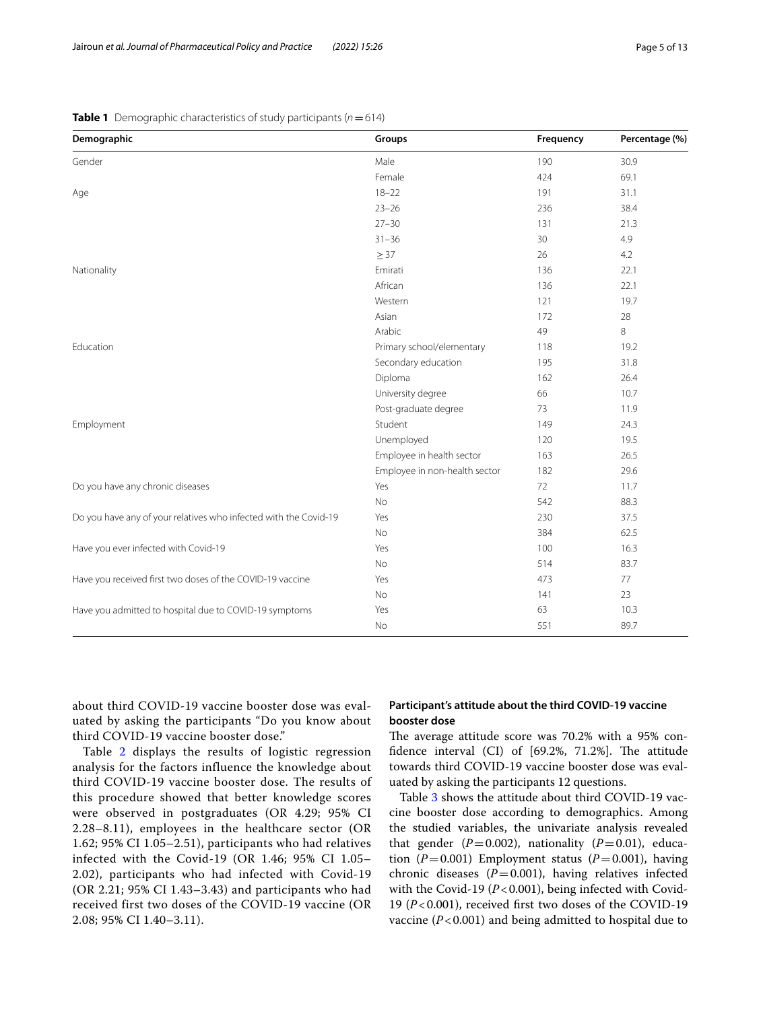<span id="page-4-0"></span>

| <b>Table 1</b> Demographic characteristics of study participants ( $n = 614$ ) |
|--------------------------------------------------------------------------------|
|--------------------------------------------------------------------------------|

| Demographic                                                      | Groups                        | Frequency | Percentage (%) |
|------------------------------------------------------------------|-------------------------------|-----------|----------------|
| Gender                                                           | Male                          | 190       | 30.9           |
|                                                                  | Female                        | 424       | 69.1           |
| Age                                                              | $18 - 22$                     | 191       | 31.1           |
|                                                                  | $23 - 26$                     | 236       | 38.4           |
|                                                                  | $27 - 30$                     | 131       | 21.3           |
|                                                                  | $31 - 36$                     | 30        | 4.9            |
|                                                                  | $\geq$ 37                     | 26        | 4.2            |
| Nationality                                                      | Emirati                       | 136       | 22.1           |
|                                                                  | African                       | 136       | 22.1           |
|                                                                  | Western                       | 121       | 19.7           |
|                                                                  | Asian                         | 172       | 28             |
|                                                                  | Arabic                        | 49        | 8              |
| Education                                                        | Primary school/elementary     | 118       | 19.2           |
|                                                                  | Secondary education           | 195       | 31.8           |
|                                                                  | Diploma                       | 162       | 26.4           |
|                                                                  | University degree             | 66        | 10.7           |
|                                                                  | Post-graduate degree          | 73        | 11.9           |
| Employment                                                       | Student                       | 149       | 24.3           |
|                                                                  | Unemployed                    | 120       | 19.5           |
|                                                                  | Employee in health sector     | 163       | 26.5           |
|                                                                  | Employee in non-health sector | 182       | 29.6           |
| Do you have any chronic diseases                                 | Yes                           | 72        | 11.7           |
|                                                                  | No                            | 542       | 88.3           |
| Do you have any of your relatives who infected with the Covid-19 | Yes                           | 230       | 37.5           |
|                                                                  | <b>No</b>                     | 384       | 62.5           |
| Have you ever infected with Covid-19                             | Yes                           | 100       | 16.3           |
|                                                                  | No                            | 514       | 83.7           |
| Have you received first two doses of the COVID-19 vaccine        | Yes                           | 473       | 77             |
|                                                                  | No                            | 141       | 23             |
| Have you admitted to hospital due to COVID-19 symptoms           | Yes                           | 63        | 10.3           |
|                                                                  | No                            | 551       | 89.7           |

about third COVID-19 vaccine booster dose was evaluated by asking the participants "Do you know about third COVID-19 vaccine booster dose."

Table [2](#page-5-0) displays the results of logistic regression analysis for the factors influence the knowledge about third COVID-19 vaccine booster dose. The results of this procedure showed that better knowledge scores were observed in postgraduates (OR 4.29; 95% CI 2.28–8.11), employees in the healthcare sector (OR 1.62; 95% CI 1.05–2.51), participants who had relatives infected with the Covid-19 (OR 1.46; 95% CI 1.05– 2.02), participants who had infected with Covid-19 (OR 2.21; 95% CI 1.43–3.43) and participants who had received first two doses of the COVID-19 vaccine (OR 2.08; 95% CI 1.40–3.11).

## **Participant's attitude about the third COVID‑19 vaccine booster dose**

The average attitude score was 70.2% with a 95% confidence interval (CI) of  $[69.2\%, 71.2\%]$ . The attitude towards third COVID-19 vaccine booster dose was evaluated by asking the participants 12 questions.

Table [3](#page-6-0) shows the attitude about third COVID-19 vaccine booster dose according to demographics. Among the studied variables, the univariate analysis revealed that gender  $(P=0.002)$ , nationality  $(P=0.01)$ , education ( $P=0.001$ ) Employment status ( $P=0.001$ ), having chronic diseases  $(P=0.001)$ , having relatives infected with the Covid-19 (*P*<0.001), being infected with Covid-19 (*P*<0.001), received frst two doses of the COVID-19 vaccine  $(P<0.001)$  and being admitted to hospital due to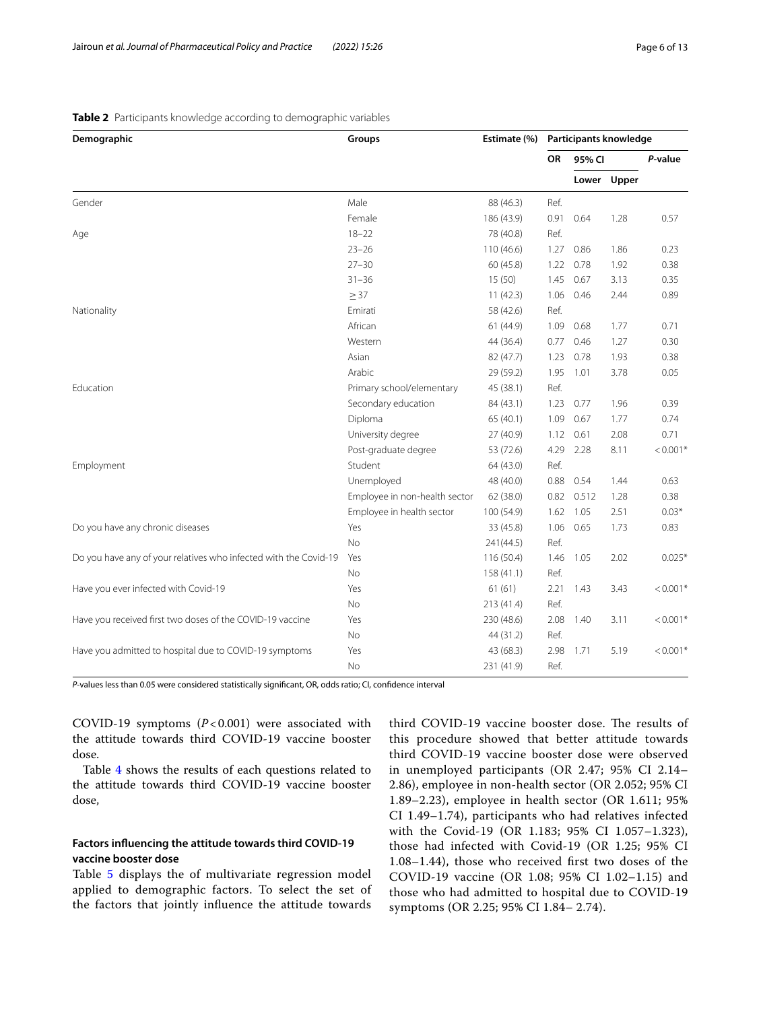| Demographic                                                      | Groups                        | Estimate (%) |           | Participants knowledge |             |            |
|------------------------------------------------------------------|-------------------------------|--------------|-----------|------------------------|-------------|------------|
|                                                                  |                               |              | <b>OR</b> | 95% CI                 |             | P-value    |
|                                                                  |                               |              |           |                        | Lower Upper |            |
| Gender                                                           | Male                          | 88 (46.3)    | Ref.      |                        |             |            |
|                                                                  | Female                        | 186 (43.9)   | 0.91      | 0.64                   | 1.28        | 0.57       |
| Age                                                              | $18 - 22$                     | 78 (40.8)    | Ref.      |                        |             |            |
|                                                                  | $23 - 26$                     | 110 (46.6)   | 1.27      | 0.86                   | 1.86        | 0.23       |
|                                                                  | $27 - 30$                     | 60(45.8)     | 1.22      | 0.78                   | 1.92        | 0.38       |
|                                                                  | $31 - 36$                     | 15(50)       | 1.45      | 0.67                   | 3.13        | 0.35       |
|                                                                  | $\geq$ 37                     | 11(42.3)     | 1.06      | 0.46                   | 2.44        | 0.89       |
| Nationality                                                      | Emirati                       | 58 (42.6)    | Ref.      |                        |             |            |
|                                                                  | African                       | 61(44.9)     | 1.09      | 0.68                   | 1.77        | 0.71       |
|                                                                  | Western                       | 44 (36.4)    | 0.77      | 0.46                   | 1.27        | 0.30       |
|                                                                  | Asian                         | 82 (47.7)    | 1.23      | 0.78                   | 1.93        | 0.38       |
|                                                                  | Arabic                        | 29 (59.2)    | 1.95      | 1.01                   | 3.78        | 0.05       |
| Education                                                        | Primary school/elementary     | 45 (38.1)    | Ref.      |                        |             |            |
|                                                                  | Secondary education           | 84 (43.1)    | 1.23      | 0.77                   | 1.96        | 0.39       |
|                                                                  | Diploma                       | 65(40.1)     | 1.09      | 0.67                   | 1.77        | 0.74       |
|                                                                  | University degree             | 27(40.9)     | 1.12      | 0.61                   | 2.08        | 0.71       |
|                                                                  | Post-graduate degree          | 53 (72.6)    | 4.29      | 2.28                   | 8.11        | $< 0.001*$ |
| Employment                                                       | Student                       | 64 (43.0)    | Ref.      |                        |             |            |
|                                                                  | Unemployed                    | 48 (40.0)    | 0.88      | 0.54                   | 1.44        | 0.63       |
|                                                                  | Employee in non-health sector | 62 (38.0)    | 0.82      | 0.512                  | 1.28        | 0.38       |
|                                                                  | Employee in health sector     | 100 (54.9)   | 1.62      | 1.05                   | 2.51        | $0.03*$    |
| Do you have any chronic diseases                                 | Yes                           | 33 (45.8)    | 1.06      | 0.65                   | 1.73        | 0.83       |
|                                                                  | <b>No</b>                     | 241(44.5)    | Ref.      |                        |             |            |
| Do you have any of your relatives who infected with the Covid-19 | Yes                           | 116 (50.4)   | 1.46      | 1.05                   | 2.02        | $0.025*$   |
|                                                                  | <b>No</b>                     | 158(41.1)    | Ref.      |                        |             |            |
| Have you ever infected with Covid-19                             | Yes                           | 61(61)       | 2.21      | 1.43                   | 3.43        | $< 0.001*$ |
|                                                                  | No                            | 213 (41.4)   | Ref.      |                        |             |            |
| Have you received first two doses of the COVID-19 vaccine        | Yes                           | 230 (48.6)   | 2.08      | 1.40                   | 3.11        | $< 0.001*$ |
|                                                                  | No                            | 44 (31.2)    | Ref.      |                        |             |            |
| Have you admitted to hospital due to COVID-19 symptoms           | Yes                           | 43 (68.3)    | 2.98      | 1.71                   | 5.19        | $< 0.001*$ |
|                                                                  | No                            | 231 (41.9)   | Ref.      |                        |             |            |

## <span id="page-5-0"></span>**Table 2** Participants knowledge according to demographic variables

*P*-values less than 0.05 were considered statistically signifcant, OR, odds ratio; CI, confdence interval

COVID-19 symptoms  $(P<0.001)$  were associated with the attitude towards third COVID-19 vaccine booster dose.

Table [4](#page-7-0) shows the results of each questions related to the attitude towards third COVID-19 vaccine booster dose,

## **Factors infuencing the attitude towards third COVID‑19 vaccine booster dose**

Table [5](#page-8-0) displays the of multivariate regression model applied to demographic factors. To select the set of the factors that jointly infuence the attitude towards

third COVID-19 vaccine booster dose. The results of this procedure showed that better attitude towards third COVID-19 vaccine booster dose were observed in unemployed participants (OR 2.47; 95% CI 2.14– 2.86), employee in non-health sector (OR 2.052; 95% CI 1.89–2.23), employee in health sector (OR 1.611; 95% CI 1.49–1.74), participants who had relatives infected with the Covid-19 (OR 1.183; 95% CI 1.057–1.323), those had infected with Covid-19 (OR 1.25; 95% CI 1.08–1.44), those who received frst two doses of the COVID-19 vaccine (OR 1.08; 95% CI 1.02–1.15) and those who had admitted to hospital due to COVID-19 symptoms (OR 2.25; 95% CI 1.84– 2.74).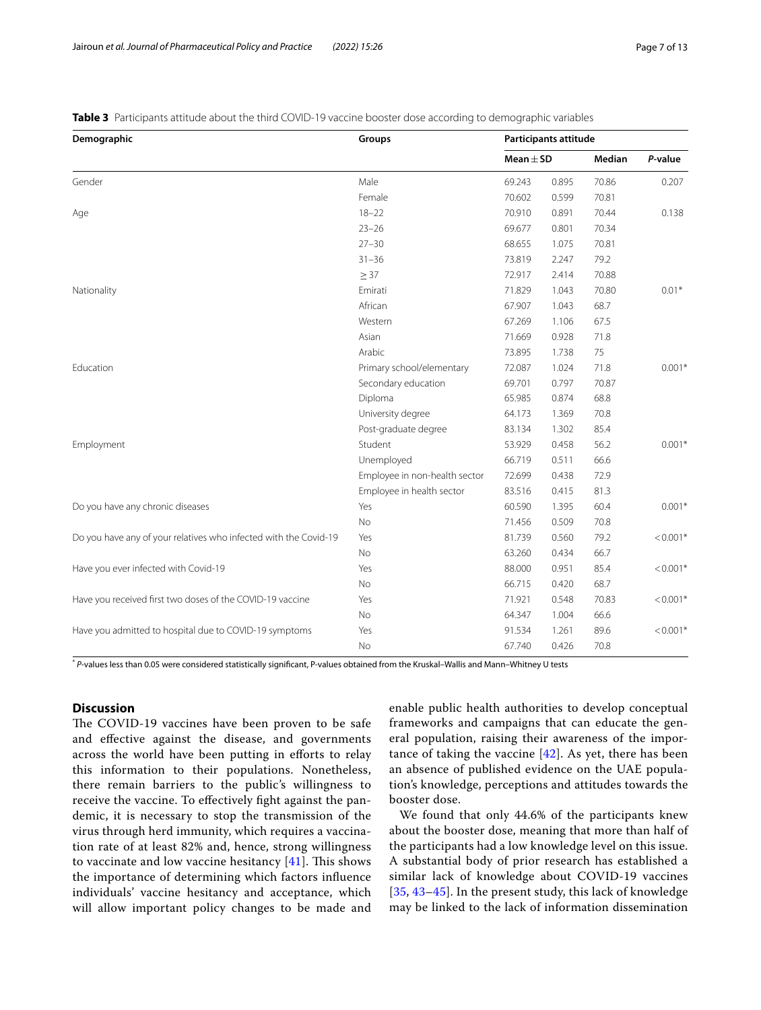<span id="page-6-0"></span>**Table 3** Participants attitude about the third COVID-19 vaccine booster dose according to demographic variables

| Demographic                                                      | Groups                        |               | Participants attitude |        |            |  |
|------------------------------------------------------------------|-------------------------------|---------------|-----------------------|--------|------------|--|
|                                                                  |                               | Mean $\pm$ SD |                       | Median | P-value    |  |
| Gender                                                           | Male                          | 69.243        | 0.895                 | 70.86  | 0.207      |  |
|                                                                  | Female                        | 70.602        | 0.599                 | 70.81  |            |  |
| Age                                                              | $18 - 22$                     | 70.910        | 0.891                 | 70.44  | 0.138      |  |
|                                                                  | $23 - 26$                     | 69.677        | 0.801                 | 70.34  |            |  |
|                                                                  | $27 - 30$                     | 68.655        | 1.075                 | 70.81  |            |  |
|                                                                  | $31 - 36$                     | 73.819        | 2.247                 | 79.2   |            |  |
|                                                                  | $\geq$ 37                     | 72.917        | 2.414                 | 70.88  |            |  |
| Nationality                                                      | Emirati                       | 71.829        | 1.043                 | 70.80  | $0.01*$    |  |
|                                                                  | African                       | 67.907        | 1.043                 | 68.7   |            |  |
|                                                                  | Western                       | 67.269        | 1.106                 | 67.5   |            |  |
|                                                                  | Asian                         | 71.669        | 0.928                 | 71.8   |            |  |
|                                                                  | Arabic                        | 73.895        | 1.738                 | 75     |            |  |
| Education                                                        | Primary school/elementary     | 72.087        | 1.024                 | 71.8   | $0.001*$   |  |
|                                                                  | Secondary education           | 69.701        | 0.797                 | 70.87  |            |  |
|                                                                  | Diploma                       | 65.985        | 0.874                 | 68.8   |            |  |
|                                                                  | University degree             | 64.173        | 1.369                 | 70.8   |            |  |
|                                                                  | Post-graduate degree          | 83.134        | 1.302                 | 85.4   |            |  |
| Employment                                                       | Student                       | 53.929        | 0.458                 | 56.2   | $0.001*$   |  |
|                                                                  | Unemployed                    | 66.719        | 0.511                 | 66.6   |            |  |
|                                                                  | Employee in non-health sector | 72.699        | 0.438                 | 72.9   |            |  |
|                                                                  | Employee in health sector     | 83.516        | 0.415                 | 81.3   |            |  |
| Do you have any chronic diseases                                 | Yes                           | 60.590        | 1.395                 | 60.4   | $0.001*$   |  |
|                                                                  | No                            | 71.456        | 0.509                 | 70.8   |            |  |
| Do you have any of your relatives who infected with the Covid-19 | Yes                           | 81.739        | 0.560                 | 79.2   | $< 0.001*$ |  |
|                                                                  | No                            | 63.260        | 0.434                 | 66.7   |            |  |
| Have you ever infected with Covid-19                             | Yes                           | 88.000        | 0.951                 | 85.4   | $< 0.001*$ |  |
|                                                                  | No                            | 66.715        | 0.420                 | 68.7   |            |  |
| Have you received first two doses of the COVID-19 vaccine        | Yes                           | 71.921        | 0.548                 | 70.83  | $< 0.001*$ |  |
|                                                                  | No                            | 64.347        | 1.004                 | 66.6   |            |  |
| Have you admitted to hospital due to COVID-19 symptoms           | Yes                           | 91.534        | 1.261                 | 89.6   | $< 0.001*$ |  |
|                                                                  | No                            | 67.740        | 0.426                 | 70.8   |            |  |

\* *P*-values less than 0.05 were considered statistically signifcant, P-values obtained from the Kruskal–Wallis and Mann–Whitney U tests

## **Discussion**

The COVID-19 vaccines have been proven to be safe and efective against the disease, and governments across the world have been putting in eforts to relay this information to their populations. Nonetheless, there remain barriers to the public's willingness to receive the vaccine. To efectively fght against the pandemic, it is necessary to stop the transmission of the virus through herd immunity, which requires a vaccination rate of at least 82% and, hence, strong willingness to vaccinate and low vaccine hesitancy  $[41]$  $[41]$  $[41]$ . This shows the importance of determining which factors infuence individuals' vaccine hesitancy and acceptance, which will allow important policy changes to be made and enable public health authorities to develop conceptual frameworks and campaigns that can educate the general population, raising their awareness of the importance of taking the vaccine [\[42](#page-11-27)]. As yet, there has been an absence of published evidence on the UAE population's knowledge, perceptions and attitudes towards the booster dose.

We found that only 44.6% of the participants knew about the booster dose, meaning that more than half of the participants had a low knowledge level on this issue. A substantial body of prior research has established a similar lack of knowledge about COVID-19 vaccines [[35](#page-11-21), [43](#page-11-28)–[45](#page-11-29)]. In the present study, this lack of knowledge may be linked to the lack of information dissemination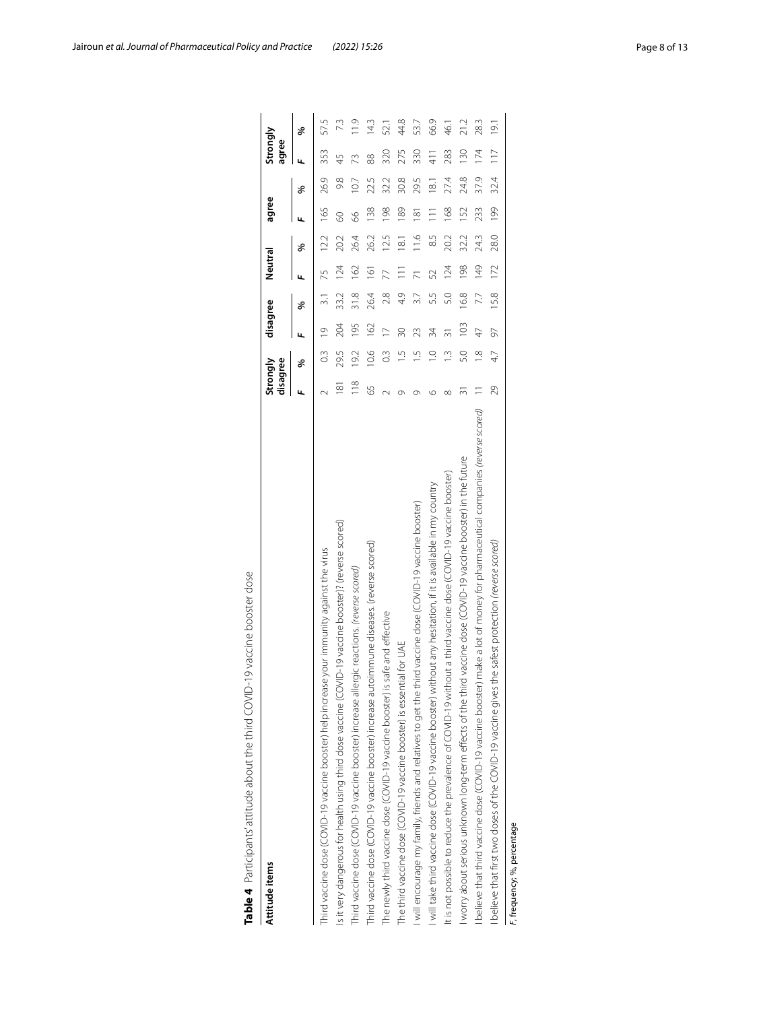| Table 4 Participants' attitude about the third COVID-19 vaccine booster dose                                                 |                      |               |                 |                  |         |                |                 |                 |                   |                  |  |
|------------------------------------------------------------------------------------------------------------------------------|----------------------|---------------|-----------------|------------------|---------|----------------|-----------------|-----------------|-------------------|------------------|--|
| Attitude items                                                                                                               | Strongly<br>disagree |               | disagree        |                  | Neutral |                | agree           |                 | Strongly<br>agree |                  |  |
|                                                                                                                              |                      | ಕ್ಗ           | щ               | ℅                |         | ℅              |                 | ℅               |                   | ৡ                |  |
| Third vaccine dose (COVID-19 vaccine booster) help increase your immunity against the virus                                  |                      | $\frac{3}{2}$ | $\overline{0}$  | $\frac{1}{3}$    | 75      | 12.2           | 165             | 26.9            | 353               | 57.5             |  |
| Is it very dangerous for health using third dose vaccine (COVID-19 vaccine booster)? (reverse scored)                        | $\overline{8}$       | 29.5          | 204             | 33.2             | 124     | 20.2           | 8               | 9.8             | 45                | 73               |  |
| Third vaccine dose (COVID-19 vaccine booster) increase allergic reactions. (reverse scored)                                  | $\frac{8}{10}$       | 19.2          | 195             | $\frac{8}{21.8}$ | 162     | 26.4           | 8               | 107             | 73                | 11.9             |  |
| Third vaccine dose (COVID-19 vaccine booster) increase autoimmune diseases. (reverse scored                                  | 59                   | 10.6          | 162             | 26.4             | 161     | 26.2           | 138             | 22.5            | 88                | 143              |  |
| The newly third vaccine dose (COVID-19 vaccine booster) is safe and effective                                                |                      | $\frac{3}{2}$ | $\geq$          | 2.8              |         | 12.5           | 198             | 32.2            | 320               | 52.1             |  |
| The third vaccine dose (COVID-19 vaccine booster) is essential for UAE                                                       | Ō                    |               | $\overline{30}$ | 4.9              |         | 18.1           | 189             | 30.8            | 275               | 44.8             |  |
| I will encourage my family, friends and relatives to get the third vaccine dose (COVID-19 vaccine booster)                   |                      |               | 23              | 3.7              |         | $\frac{6}{11}$ | $\frac{18}{18}$ | 29.5            | 330               | 53.7             |  |
| will take third vaccine dose (COVID-19 vaccine booster) without any hesitation, if it is available in my country             | ७                    | $\frac{1}{2}$ | 34              | 53               | 52      | 6.5            | $\equiv$        | $\frac{81}{18}$ | $\frac{1}{4}$     | 66.9             |  |
| it is not possible to reduce the prevalence of COVID-19 without a third vaccine dose (COVID-19 vaccine booster)              | $\infty$             |               | $\overline{5}$  | 5.0              | 124     | 20.2           | 168             | 27.4            | 283               | 46.1             |  |
| worry about serious unknown long-term effects of the third vaccine dose (COVID-19 vaccine booster) in the future             | 5                    | 5.0           | 103             | 16.8             | 198     | 32.2           | 152             | 24.8            | 130               | 21.2             |  |
| believe that third vaccine dose (COVID-19 vaccine booster) make a lot of money for pharmaceutical companies (reverse scored) |                      | $\frac{8}{1}$ | $\overline{4}$  | 7.7              | 149     | 24.3           | 233             | 37.9            | 174               | 28.3             |  |
| believe that first two doses of the COVID-19 vaccine gives the safest protection (reverse scored)                            | 29                   | 4.7           | 97              | 15.8             | 172     | 28.0           | 199             | 32.4            | $\frac{1}{1}$     | $\overline{191}$ |  |
| F, frequency; %, percentage                                                                                                  |                      |               |                 |                  |         |                |                 |                 |                   |                  |  |

<span id="page-7-0"></span>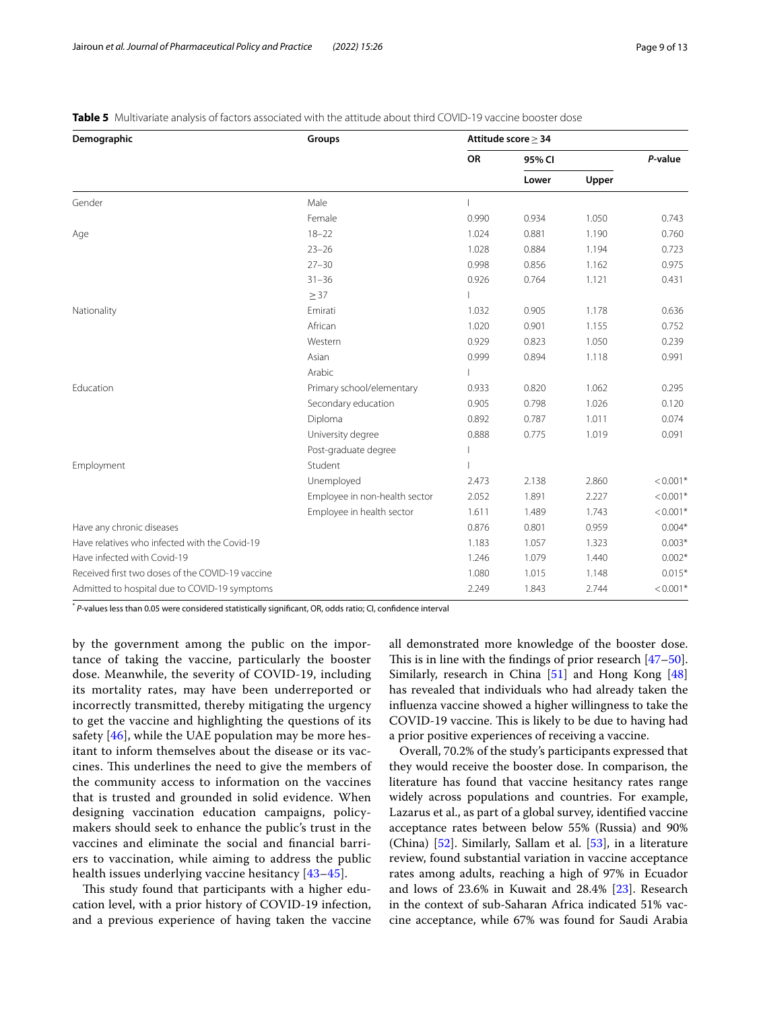| Demographic                                      | Groups                        |           | Attitude score $\geq$ 34 |       |            |
|--------------------------------------------------|-------------------------------|-----------|--------------------------|-------|------------|
|                                                  |                               | <b>OR</b> | 95% CI                   |       | P-value    |
|                                                  |                               |           | Lower                    | Upper |            |
| Gender                                           | Male                          |           |                          |       |            |
|                                                  | Female                        | 0.990     | 0.934                    | 1.050 | 0.743      |
| Age                                              | $18 - 22$                     | 1.024     | 0.881                    | 1.190 | 0.760      |
|                                                  | $23 - 26$                     | 1.028     | 0.884                    | 1.194 | 0.723      |
|                                                  | $27 - 30$                     | 0.998     | 0.856                    | 1.162 | 0.975      |
|                                                  | $31 - 36$                     | 0.926     | 0.764                    | 1.121 | 0.431      |
|                                                  | $\geq$ 37                     |           |                          |       |            |
| Nationality                                      | Emirati                       | 1.032     | 0.905                    | 1.178 | 0.636      |
|                                                  | African                       | 1.020     | 0.901                    | 1.155 | 0.752      |
|                                                  | Western                       | 0.929     | 0.823                    | 1.050 | 0.239      |
|                                                  | Asian                         | 0.999     | 0.894                    | 1.118 | 0.991      |
|                                                  | Arabic                        |           |                          |       |            |
| Education                                        | Primary school/elementary     | 0.933     | 0.820                    | 1.062 | 0.295      |
|                                                  | Secondary education           | 0.905     | 0.798                    | 1.026 | 0.120      |
|                                                  | Diploma                       | 0.892     | 0.787                    | 1.011 | 0.074      |
|                                                  | University degree             | 0.888     | 0.775                    | 1.019 | 0.091      |
|                                                  | Post-graduate degree          |           |                          |       |            |
| Employment                                       | Student                       |           |                          |       |            |
|                                                  | Unemployed                    | 2.473     | 2.138                    | 2.860 | $< 0.001*$ |
|                                                  | Employee in non-health sector | 2.052     | 1.891                    | 2.227 | $< 0.001*$ |
|                                                  | Employee in health sector     | 1.611     | 1.489                    | 1.743 | $< 0.001*$ |
| Have any chronic diseases                        |                               | 0.876     | 0.801                    | 0.959 | $0.004*$   |
| Have relatives who infected with the Covid-19    |                               | 1.183     | 1.057                    | 1.323 | $0.003*$   |
| Have infected with Covid-19                      |                               | 1.246     | 1.079                    | 1.440 | $0.002*$   |
| Received first two doses of the COVID-19 vaccine |                               | 1.080     | 1.015                    | 1.148 | $0.015*$   |
| Admitted to hospital due to COVID-19 symptoms    |                               | 2.249     | 1.843                    | 2.744 | $< 0.001*$ |

<span id="page-8-0"></span>**Table 5** Multivariate analysis of factors associated with the attitude about third COVID-19 vaccine booster dose

\* *P*-values less than 0.05 were considered statistically signifcant, OR, odds ratio; CI, confdence interval

by the government among the public on the importance of taking the vaccine, particularly the booster dose. Meanwhile, the severity of COVID-19, including its mortality rates, may have been underreported or incorrectly transmitted, thereby mitigating the urgency to get the vaccine and highlighting the questions of its safety  $[46]$  $[46]$ , while the UAE population may be more hesitant to inform themselves about the disease or its vaccines. This underlines the need to give the members of the community access to information on the vaccines that is trusted and grounded in solid evidence. When designing vaccination education campaigns, policymakers should seek to enhance the public's trust in the vaccines and eliminate the social and fnancial barriers to vaccination, while aiming to address the public health issues underlying vaccine hesitancy [\[43](#page-11-28)[–45\]](#page-11-29).

This study found that participants with a higher education level, with a prior history of COVID-19 infection, and a previous experience of having taken the vaccine all demonstrated more knowledge of the booster dose. This is in line with the findings of prior research  $[47-50]$  $[47-50]$  $[47-50]$ . Similarly, research in China [\[51](#page-12-3)] and Hong Kong [[48](#page-12-4)] has revealed that individuals who had already taken the infuenza vaccine showed a higher willingness to take the COVID-19 vaccine. This is likely to be due to having had a prior positive experiences of receiving a vaccine.

Overall, 70.2% of the study's participants expressed that they would receive the booster dose. In comparison, the literature has found that vaccine hesitancy rates range widely across populations and countries. For example, Lazarus et al., as part of a global survey, identifed vaccine acceptance rates between below 55% (Russia) and 90% (China) [[52\]](#page-12-5). Similarly, Sallam et al. [\[53\]](#page-12-6), in a literature review, found substantial variation in vaccine acceptance rates among adults, reaching a high of 97% in Ecuador and lows of 23.6% in Kuwait and 28.4% [\[23](#page-11-14)]. Research in the context of sub-Saharan Africa indicated 51% vaccine acceptance, while 67% was found for Saudi Arabia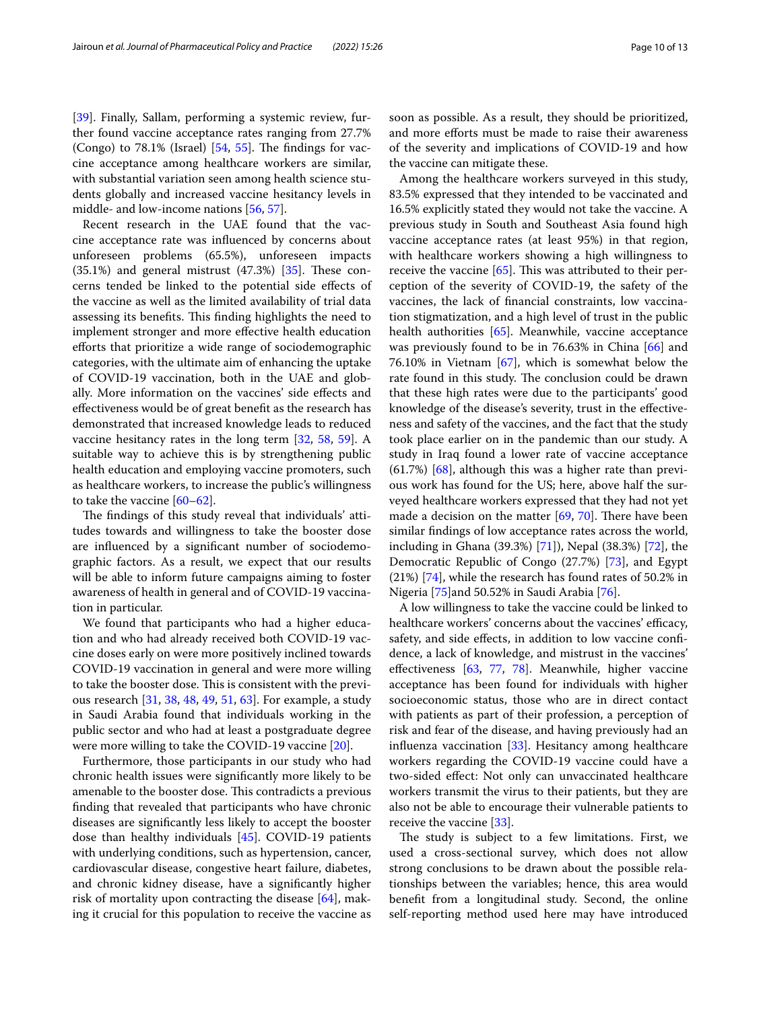[[39\]](#page-11-24). Finally, Sallam, performing a systemic review, further found vaccine acceptance rates ranging from 27.7% (Congo) to  $78.1\%$  (Israel)  $[54, 55]$  $[54, 55]$  $[54, 55]$ . The findings for vaccine acceptance among healthcare workers are similar, with substantial variation seen among health science students globally and increased vaccine hesitancy levels in middle- and low-income nations [\[56,](#page-12-9) [57](#page-12-10)].

Recent research in the UAE found that the vaccine acceptance rate was infuenced by concerns about unforeseen problems (65.5%), unforeseen impacts  $(35.1%)$  and general mistrust  $(47.3%)$   $[35]$  $[35]$ . These concerns tended be linked to the potential side efects of the vaccine as well as the limited availability of trial data assessing its benefits. This finding highlights the need to implement stronger and more efective health education efforts that prioritize a wide range of sociodemographic categories, with the ultimate aim of enhancing the uptake of COVID-19 vaccination, both in the UAE and globally. More information on the vaccines' side efects and efectiveness would be of great beneft as the research has demonstrated that increased knowledge leads to reduced vaccine hesitancy rates in the long term [\[32](#page-11-18), [58,](#page-12-11) [59](#page-12-12)]. A suitable way to achieve this is by strengthening public health education and employing vaccine promoters, such as healthcare workers, to increase the public's willingness to take the vaccine [\[60–](#page-12-13)[62\]](#page-12-14).

The findings of this study reveal that individuals' attitudes towards and willingness to take the booster dose are infuenced by a signifcant number of sociodemographic factors. As a result, we expect that our results will be able to inform future campaigns aiming to foster awareness of health in general and of COVID-19 vaccination in particular.

We found that participants who had a higher education and who had already received both COVID-19 vaccine doses early on were more positively inclined towards COVID-19 vaccination in general and were more willing to take the booster dose. This is consistent with the previous research [\[31,](#page-11-30) [38,](#page-11-23) [48](#page-12-4), [49](#page-12-15), [51](#page-12-3), [63\]](#page-12-16). For example, a study in Saudi Arabia found that individuals working in the public sector and who had at least a postgraduate degree were more willing to take the COVID-19 vaccine [\[20](#page-11-11)].

Furthermore, those participants in our study who had chronic health issues were signifcantly more likely to be amenable to the booster dose. This contradicts a previous fnding that revealed that participants who have chronic diseases are signifcantly less likely to accept the booster dose than healthy individuals [[45\]](#page-11-29). COVID-19 patients with underlying conditions, such as hypertension, cancer, cardiovascular disease, congestive heart failure, diabetes, and chronic kidney disease, have a signifcantly higher risk of mortality upon contracting the disease [[64](#page-12-17)], making it crucial for this population to receive the vaccine as soon as possible. As a result, they should be prioritized, and more efforts must be made to raise their awareness of the severity and implications of COVID-19 and how the vaccine can mitigate these.

Among the healthcare workers surveyed in this study, 83.5% expressed that they intended to be vaccinated and 16.5% explicitly stated they would not take the vaccine. A previous study in South and Southeast Asia found high vaccine acceptance rates (at least 95%) in that region, with healthcare workers showing a high willingness to receive the vaccine  $[65]$  $[65]$ . This was attributed to their perception of the severity of COVID-19, the safety of the vaccines, the lack of fnancial constraints, low vaccination stigmatization, and a high level of trust in the public health authorities [[65](#page-12-18)]. Meanwhile, vaccine acceptance was previously found to be in 76.63% in China [\[66\]](#page-12-19) and 76.10% in Vietnam [\[67\]](#page-12-20), which is somewhat below the rate found in this study. The conclusion could be drawn that these high rates were due to the participants' good knowledge of the disease's severity, trust in the efectiveness and safety of the vaccines, and the fact that the study took place earlier on in the pandemic than our study. A study in Iraq found a lower rate of vaccine acceptance  $(61.7%)$  [\[68](#page-12-21)], although this was a higher rate than previous work has found for the US; here, above half the surveyed healthcare workers expressed that they had not yet made a decision on the matter  $[69, 70]$  $[69, 70]$  $[69, 70]$  $[69, 70]$ . There have been similar fndings of low acceptance rates across the world, including in Ghana (39.3%) [[71\]](#page-12-24)), Nepal (38.3%) [\[72](#page-12-25)], the Democratic Republic of Congo (27.7%) [[73\]](#page-12-26), and Egypt (21%) [[74](#page-12-27)], while the research has found rates of 50.2% in Nigeria [\[75](#page-12-28)]and 50.52% in Saudi Arabia [\[76](#page-12-29)].

A low willingness to take the vaccine could be linked to healthcare workers' concerns about the vaccines' efficacy, safety, and side efects, in addition to low vaccine confdence, a lack of knowledge, and mistrust in the vaccines' efectiveness [\[63](#page-12-16), [77](#page-12-30), [78](#page-12-31)]. Meanwhile, higher vaccine acceptance has been found for individuals with higher socioeconomic status, those who are in direct contact with patients as part of their profession, a perception of risk and fear of the disease, and having previously had an infuenza vaccination [\[33](#page-11-19)]. Hesitancy among healthcare workers regarding the COVID-19 vaccine could have a two-sided efect: Not only can unvaccinated healthcare workers transmit the virus to their patients, but they are also not be able to encourage their vulnerable patients to receive the vaccine [\[33\]](#page-11-19).

The study is subject to a few limitations. First, we used a cross-sectional survey, which does not allow strong conclusions to be drawn about the possible relationships between the variables; hence, this area would beneft from a longitudinal study. Second, the online self-reporting method used here may have introduced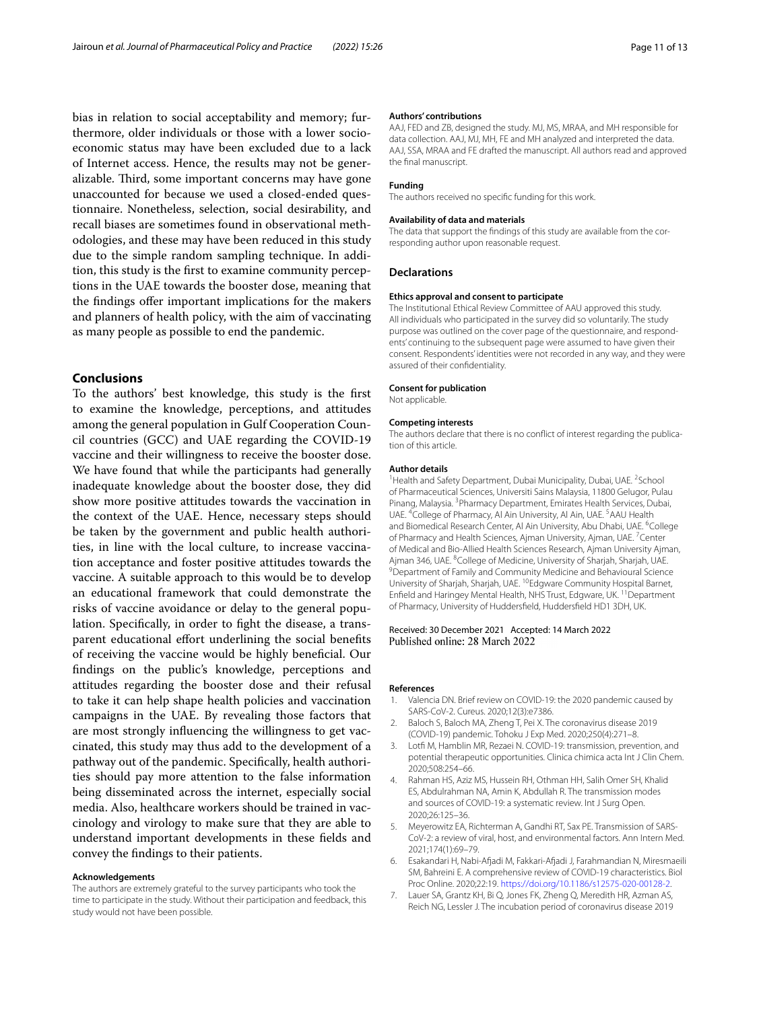bias in relation to social acceptability and memory; furthermore, older individuals or those with a lower socioeconomic status may have been excluded due to a lack of Internet access. Hence, the results may not be generalizable. Third, some important concerns may have gone unaccounted for because we used a closed-ended questionnaire. Nonetheless, selection, social desirability, and recall biases are sometimes found in observational methodologies, and these may have been reduced in this study due to the simple random sampling technique. In addition, this study is the frst to examine community perceptions in the UAE towards the booster dose, meaning that the fndings ofer important implications for the makers and planners of health policy, with the aim of vaccinating as many people as possible to end the pandemic.

## **Conclusions**

To the authors' best knowledge, this study is the frst to examine the knowledge, perceptions, and attitudes among the general population in Gulf Cooperation Council countries (GCC) and UAE regarding the COVID-19 vaccine and their willingness to receive the booster dose. We have found that while the participants had generally inadequate knowledge about the booster dose, they did show more positive attitudes towards the vaccination in the context of the UAE. Hence, necessary steps should be taken by the government and public health authorities, in line with the local culture, to increase vaccination acceptance and foster positive attitudes towards the vaccine. A suitable approach to this would be to develop an educational framework that could demonstrate the risks of vaccine avoidance or delay to the general population. Specifcally, in order to fght the disease, a transparent educational effort underlining the social benefits of receiving the vaccine would be highly benefcial. Our fndings on the public's knowledge, perceptions and attitudes regarding the booster dose and their refusal to take it can help shape health policies and vaccination campaigns in the UAE. By revealing those factors that are most strongly infuencing the willingness to get vaccinated, this study may thus add to the development of a pathway out of the pandemic. Specifcally, health authorities should pay more attention to the false information being disseminated across the internet, especially social media. Also, healthcare workers should be trained in vaccinology and virology to make sure that they are able to understand important developments in these felds and convey the fndings to their patients.

#### **Acknowledgements**

The authors are extremely grateful to the survey participants who took the time to participate in the study. Without their participation and feedback, this study would not have been possible.

#### **Authors' contributions**

AAJ, FED and ZB, designed the study. MJ, MS, MRAA, and MH responsible for data collection. AAJ, MJ, MH, FE and MH analyzed and interpreted the data. AAJ, SSA, MRAA and FE drafted the manuscript. All authors read and approved the fnal manuscript.

#### **Funding**

The authors received no specifc funding for this work.

#### **Availability of data and materials**

The data that support the findings of this study are available from the corresponding author upon reasonable request.

#### **Declarations**

#### **Ethics approval and consent to participate**

The Institutional Ethical Review Committee of AAU approved this study. All individuals who participated in the survey did so voluntarily. The study purpose was outlined on the cover page of the questionnaire, and respondents' continuing to the subsequent page were assumed to have given their consent. Respondents' identities were not recorded in any way, and they were assured of their confdentiality.

#### **Consent for publication**

Not applicable.

#### **Competing interests**

The authors declare that there is no conflict of interest regarding the publication of this article.

#### **Author details**

<sup>1</sup> Health and Safety Department, Dubai Municipality, Dubai, UAE. <sup>2</sup> School of Pharmaceutical Sciences, Universiti Sains Malaysia, 11800 Gelugor, Pulau Pinang, Malaysia. <sup>3</sup> Pharmacy Department, Emirates Health Services, Dubai, UAE. <sup>4</sup>College of Pharmacy, Al Ain University, Al Ain, UAE. <sup>5</sup> AAU Health and Biomedical Research Center, Al Ain University, Abu Dhabi, UAE. <sup>6</sup>College of Pharmacy and Health Sciences, Ajman University, Ajman, UAE. <sup>7</sup>Center of Medical and Bio‑Allied Health Sciences Research, Ajman University Ajman, Ajman 346, UAE. <sup>8</sup>College of Medicine, University of Sharjah, Sharjah, UAE.<br><sup>9</sup>Department of Family and Community Medicine and Behavioural Science <sup>9</sup> Department of Family and Community Medicine and Behavioural Science University of Sharjah, Sharjah, UAE. 10Edgware Community Hospital Barnet, Enfield and Haringey Mental Health, NHS Trust, Edgware, UK. <sup>11</sup> Department of Pharmacy, University of Huddersfeld, Huddersfeld HD1 3DH, UK.

## Received: 30 December 2021 Accepted: 14 March 2022 Published online: 28 March 2022

#### **References**

- <span id="page-10-0"></span>1. Valencia DN. Brief review on COVID-19: the 2020 pandemic caused by SARS-CoV-2. Cureus. 2020;12(3):e7386.
- <span id="page-10-1"></span>2. Baloch S, Baloch MA, Zheng T, Pei X. The coronavirus disease 2019 (COVID-19) pandemic. Tohoku J Exp Med. 2020;250(4):271–8.
- <span id="page-10-2"></span>3. Lotf M, Hamblin MR, Rezaei N. COVID-19: transmission, prevention, and potential therapeutic opportunities. Clinica chimica acta Int J Clin Chem. 2020;508:254–66.
- <span id="page-10-3"></span>4. Rahman HS, Aziz MS, Hussein RH, Othman HH, Salih Omer SH, Khalid ES, Abdulrahman NA, Amin K, Abdullah R. The transmission modes and sources of COVID-19: a systematic review. Int J Surg Open. 2020;26:125–36.
- <span id="page-10-4"></span>5. Meyerowitz EA, Richterman A, Gandhi RT, Sax PE. Transmission of SARS-CoV-2: a review of viral, host, and environmental factors. Ann Intern Med. 2021;174(1):69–79.
- <span id="page-10-5"></span>6. Esakandari H, Nabi-Afadi M, Fakkari-Afadi J, Farahmandian N, Miresmaeili SM, Bahreini E. A comprehensive review of COVID-19 characteristics. Biol Proc Online. 2020;22:19. [https://doi.org/10.1186/s12575-020-00128-2.](https://doi.org/10.1186/s12575-020-00128-2)
- <span id="page-10-6"></span>7. Lauer SA, Grantz KH, Bi Q, Jones FK, Zheng Q, Meredith HR, Azman AS, Reich NG, Lessler J. The incubation period of coronavirus disease 2019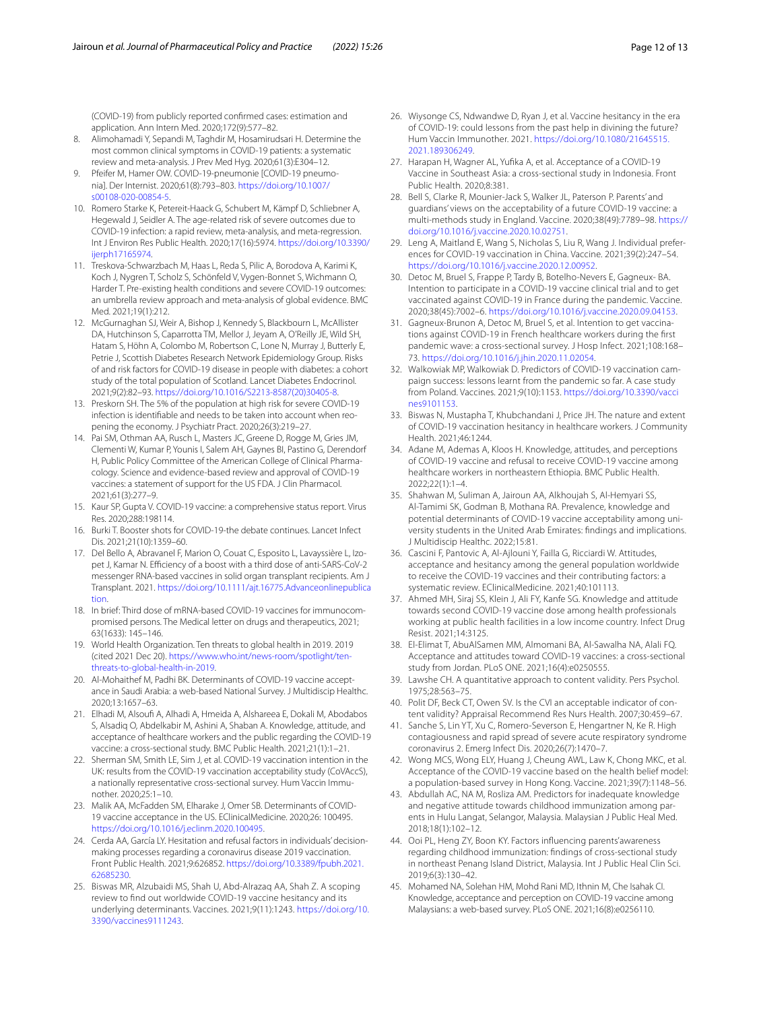(COVID-19) from publicly reported confrmed cases: estimation and application. Ann Intern Med. 2020;172(9):577–82.

- <span id="page-11-0"></span>8. Alimohamadi Y, Sepandi M, Taghdir M, Hosamirudsari H. Determine the most common clinical symptoms in COVID-19 patients: a systematic review and meta-analysis. J Prev Med Hyg. 2020;61(3):E304–12.
- <span id="page-11-1"></span>9. Pfeifer M, Hamer OW. COVID-19-pneumonie [COVID-19 pneumonia]. Der Internist. 2020;61(8):793–803. [https://doi.org/10.1007/](https://doi.org/10.1007/s00108-020-00854-5) [s00108-020-00854-5](https://doi.org/10.1007/s00108-020-00854-5).
- <span id="page-11-2"></span>10. Romero Starke K, Petereit-Haack G, Schubert M, Kämpf D, Schliebner A, Hegewald J, Seidler A. The age-related risk of severe outcomes due to COVID-19 infection: a rapid review, meta-analysis, and meta-regression. Int J Environ Res Public Health. 2020;17(16):5974. [https://doi.org/10.3390/](https://doi.org/10.3390/ijerph17165974) [ijerph17165974](https://doi.org/10.3390/ijerph17165974).
- <span id="page-11-3"></span>11. Treskova-Schwarzbach M, Haas L, Reda S, Pilic A, Borodova A, Karimi K, Koch J, Nygren T, Scholz S, Schönfeld V, Vygen-Bonnet S, Wichmann O, Harder T. Pre-existing health conditions and severe COVID-19 outcomes: an umbrella review approach and meta-analysis of global evidence. BMC Med. 2021;19(1):212.
- 12. McGurnaghan SJ, Weir A, Bishop J, Kennedy S, Blackbourn L, McAllister DA, Hutchinson S, Caparrotta TM, Mellor J, Jeyam A, O'Reilly JE, Wild SH, Hatam S, Höhn A, Colombo M, Robertson C, Lone N, Murray J, Butterly E, Petrie J, Scottish Diabetes Research Network Epidemiology Group. Risks of and risk factors for COVID-19 disease in people with diabetes: a cohort study of the total population of Scotland. Lancet Diabetes Endocrinol. 2021;9(2):82–93. [https://doi.org/10.1016/S2213-8587\(20\)30405-8.](https://doi.org/10.1016/S2213-8587(20)30405-8)
- <span id="page-11-4"></span>13. Preskorn SH. The 5% of the population at high risk for severe COVID-19 infection is identifiable and needs to be taken into account when reopening the economy. J Psychiatr Pract. 2020;26(3):219–27.
- <span id="page-11-5"></span>14. Pai SM, Othman AA, Rusch L, Masters JC, Greene D, Rogge M, Gries JM, Clementi W, Kumar P, Younis I, Salem AH, Gaynes BI, Pastino G, Derendorf H, Public Policy Committee of the American College of Clinical Pharmacology. Science and evidence-based review and approval of COVID-19 vaccines: a statement of support for the US FDA. J Clin Pharmacol. 2021;61(3):277–9.
- <span id="page-11-6"></span>15. Kaur SP, Gupta V. COVID-19 vaccine: a comprehensive status report. Virus Res. 2020;288:198114.
- <span id="page-11-7"></span>16. Burki T. Booster shots for COVID-19-the debate continues. Lancet Infect Dis. 2021;21(10):1359–60.
- <span id="page-11-8"></span>17. Del Bello A, Abravanel F, Marion O, Couat C, Esposito L, Lavayssière L, Izopet J, Kamar N. Efficiency of a boost with a third dose of anti-SARS-CoV-2 messenger RNA-based vaccines in solid organ transplant recipients. Am J Transplant. 2021. [https://doi.org/10.1111/ajt.16775.Advanceonlinepublica](https://doi.org/10.1111/ajt.16775.Advanceonlinepublication) [tion.](https://doi.org/10.1111/ajt.16775.Advanceonlinepublication)
- <span id="page-11-9"></span>18. In brief: Third dose of mRNA-based COVID-19 vaccines for immunocompromised persons. The Medical letter on drugs and therapeutics, 2021; 63(1633): 145–146.
- <span id="page-11-10"></span>19. World Health Organization. Ten threats to global health in 2019. 2019 (cited 2021 Dec 20). [https://www.who.int/news-room/spotlight/ten](https://www.who.int/news-room/spotlight/ten-threats-to-global-health-in-2019) [threats-to-global-health-in-2019](https://www.who.int/news-room/spotlight/ten-threats-to-global-health-in-2019).
- <span id="page-11-11"></span>20. Al-Mohaithef M, Padhi BK. Determinants of COVID-19 vaccine acceptance in Saudi Arabia: a web-based National Survey. J Multidiscip Healthc. 2020;13:1657–63.
- <span id="page-11-12"></span>21. Elhadi M, Alsouf A, Alhadi A, Hmeida A, Alshareea E, Dokali M, Abodabos S, Alsadiq O, Abdelkabir M, Ashini A, Shaban A. Knowledge, attitude, and acceptance of healthcare workers and the public regarding the COVID-19 vaccine: a cross-sectional study. BMC Public Health. 2021;21(1):1–21.
- <span id="page-11-13"></span>22. Sherman SM, Smith LE, Sim J, et al. COVID-19 vaccination intention in the UK: results from the COVID-19 vaccination acceptability study (CoVAccS), a nationally representative cross-sectional survey. Hum Vaccin Immunother. 2020;25:1–10.
- <span id="page-11-14"></span>23. Malik AA, McFadden SM, Elharake J, Omer SB. Determinants of COVID-19 vaccine acceptance in the US. EClinicalMedicine. 2020;26: 100495. [https://doi.org/10.1016/j.eclinm.2020.100495.](https://doi.org/10.1016/j.eclinm.2020.100495)
- <span id="page-11-15"></span>24. Cerda AA, García LY. Hesitation and refusal factors in individuals' decisionmaking processes regarding a coronavirus disease 2019 vaccination. Front Public Health. 2021;9:626852. [https://doi.org/10.3389/fpubh.2021.](https://doi.org/10.3389/fpubh.2021.62685230) [62685230.](https://doi.org/10.3389/fpubh.2021.62685230)
- 25. Biswas MR, Alzubaidi MS, Shah U, Abd-Alrazaq AA, Shah Z. A scoping review to fnd out worldwide COVID-19 vaccine hesitancy and its underlying determinants. Vaccines. 2021;9(11):1243. [https://doi.org/10.](https://doi.org/10.3390/vaccines9111243) [3390/vaccines9111243](https://doi.org/10.3390/vaccines9111243).
- 26. Wiysonge CS, Ndwandwe D, Ryan J, et al. Vaccine hesitancy in the era of COVID-19: could lessons from the past help in divining the future? Hum Vaccin Immunother. 2021. [https://doi.org/10.1080/21645515.](https://doi.org/10.1080/21645515.2021.189306249) [2021.189306249](https://doi.org/10.1080/21645515.2021.189306249).
- <span id="page-11-16"></span>27. Harapan H, Wagner AL, Yufka A, et al. Acceptance of a COVID-19 Vaccine in Southeast Asia: a cross-sectional study in Indonesia. Front Public Health. 2020;8:381.
- <span id="page-11-17"></span>28. Bell S, Clarke R, Mounier-Jack S, Walker JL, Paterson P. Parents' and guardians' views on the acceptability of a future COVID-19 vaccine: a multi-methods study in England. Vaccine. 2020;38(49):7789–98. [https://](https://doi.org/10.1016/j.vaccine.2020.10.02751) [doi.org/10.1016/j.vaccine.2020.10.02751](https://doi.org/10.1016/j.vaccine.2020.10.02751).
- 29. Leng A, Maitland E, Wang S, Nicholas S, Liu R, Wang J. Individual prefer‑ ences for COVID-19 vaccination in China. Vaccine. 2021;39(2):247–54. <https://doi.org/10.1016/j.vaccine.2020.12.00952>.
- 30. Detoc M, Bruel S, Frappe P, Tardy B, Botelho-Nevers E, Gagneux- BA. Intention to participate in a COVID-19 vaccine clinical trial and to get vaccinated against COVID-19 in France during the pandemic. Vaccine. 2020;38(45):7002–6. <https://doi.org/10.1016/j.vaccine.2020.09.04153>.
- <span id="page-11-30"></span>31. Gagneux-Brunon A, Detoc M, Bruel S, et al. Intention to get vaccinations against COVID-19 in French healthcare workers during the frst pandemic wave: a cross-sectional survey. J Hosp Infect. 2021;108:168– 73.<https://doi.org/10.1016/j.jhin.2020.11.02054>.
- <span id="page-11-18"></span>32. Walkowiak MP, Walkowiak D. Predictors of COVID-19 vaccination campaign success: lessons learnt from the pandemic so far. A case study from Poland. Vaccines. 2021;9(10):1153. [https://doi.org/10.3390/vacci](https://doi.org/10.3390/vaccines9101153) [nes9101153.](https://doi.org/10.3390/vaccines9101153)
- <span id="page-11-19"></span>33. Biswas N, Mustapha T, Khubchandani J, Price JH. The nature and extent of COVID-19 vaccination hesitancy in healthcare workers. J Community Health. 2021;46:1244.
- <span id="page-11-20"></span>34. Adane M, Ademas A, Kloos H. Knowledge, attitudes, and perceptions of COVID-19 vaccine and refusal to receive COVID-19 vaccine among healthcare workers in northeastern Ethiopia. BMC Public Health. 2022;22(1):1–4.
- <span id="page-11-21"></span>35. Shahwan M, Suliman A, Jairoun AA, Alkhoujah S, Al-Hemyari SS, Al-Tamimi SK, Godman B, Mothana RA. Prevalence, knowledge and potential determinants of COVID-19 vaccine acceptability among university students in the United Arab Emirates: fndings and implications. J Multidiscip Healthc. 2022;15:81.
- <span id="page-11-22"></span>36. Cascini F, Pantovic A, Al-Ajlouni Y, Failla G, Ricciardi W. Attitudes, acceptance and hesitancy among the general population worldwide to receive the COVID-19 vaccines and their contributing factors: a systematic review. EClinicalMedicine. 2021;40:101113.
- 37. Ahmed MH, Siraj SS, Klein J, Ali FY, Kanfe SG. Knowledge and attitude towards second COVID-19 vaccine dose among health professionals working at public health facilities in a low income country. Infect Drug Resist. 2021;14:3125.
- <span id="page-11-23"></span>38. El-Elimat T, AbuAlSamen MM, Almomani BA, Al-Sawalha NA, Alali FQ. Acceptance and attitudes toward COVID-19 vaccines: a cross-sectional study from Jordan. PLoS ONE. 2021;16(4):e0250555.
- <span id="page-11-24"></span>39. Lawshe CH. A quantitative approach to content validity. Pers Psychol. 1975;28:563–75.
- <span id="page-11-25"></span>40. Polit DF, Beck CT, Owen SV. Is the CVI an acceptable indicator of content validity? Appraisal Recommend Res Nurs Health. 2007;30:459–67.
- <span id="page-11-26"></span>41. Sanche S, Lin YT, Xu C, Romero-Severson E, Hengartner N, Ke R. High contagiousness and rapid spread of severe acute respiratory syndrome coronavirus 2. Emerg Infect Dis. 2020;26(7):1470–7.
- <span id="page-11-27"></span>42. Wong MCS, Wong ELY, Huang J, Cheung AWL, Law K, Chong MKC, et al. Acceptance of the COVID-19 vaccine based on the health belief model: a population-based survey in Hong Kong. Vaccine. 2021;39(7):1148–56.
- <span id="page-11-28"></span>43. Abdullah AC, NA M, Rosliza AM. Predictors for inadequate knowledge and negative attitude towards childhood immunization among parents in Hulu Langat, Selangor, Malaysia. Malaysian J Public Heal Med. 2018;18(1):102–12.
- 44. Ooi PL, Heng ZY, Boon KY. Factors infuencing parents'awareness regarding childhood immunization: fndings of cross-sectional study in northeast Penang Island District, Malaysia. Int J Public Heal Clin Sci. 2019;6(3):130–42.
- <span id="page-11-29"></span>45. Mohamed NA, Solehan HM, Mohd Rani MD, Ithnin M, Che Isahak CI. Knowledge, acceptance and perception on COVID-19 vaccine among Malaysians: a web-based survey. PLoS ONE. 2021;16(8):e0256110.